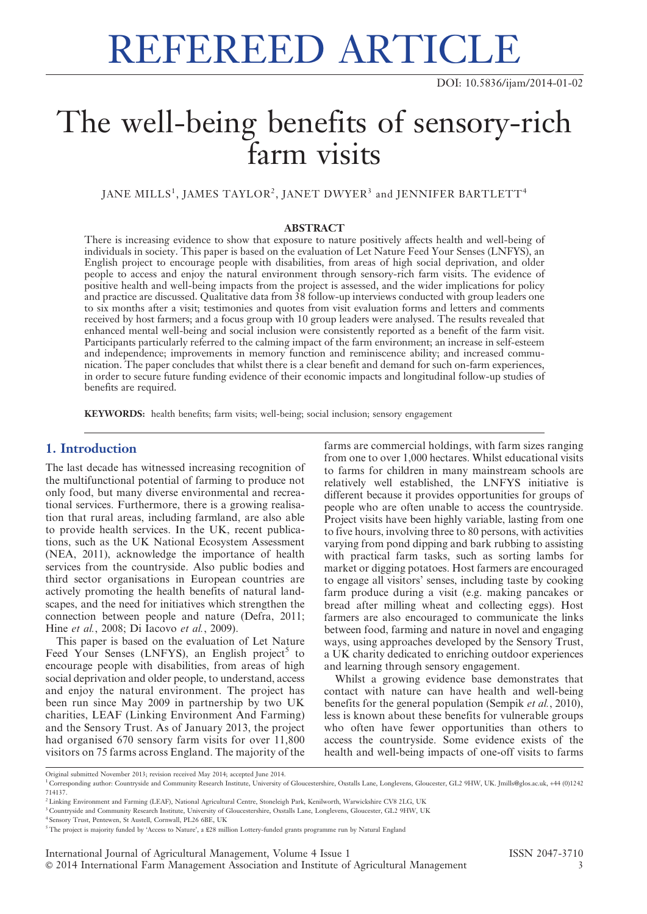# REFEREED ARTICLE

## The well-being benefits of sensory-rich farm visits

JANE MILLS<sup>1</sup>, JAMES TAYLOR<sup>2</sup>, JANET DWYER<sup>3</sup> and JENNIFER BARTLETT<sup>4</sup>

### ABSTRACT

There is increasing evidence to show that exposure to nature positively affects health and well-being of individuals in society. This paper is based on the evaluation of Let Nature Feed Your Senses (LNFYS), an English project to encourage people with disabilities, from areas of high social deprivation, and older people to access and enjoy the natural environment through sensory-rich farm visits. The evidence of positive health and well-being impacts from the project is assessed, and the wider implications for policy and practice are discussed. Qualitative data from 38 follow-up interviews conducted with group leaders one to six months after a visit; testimonies and quotes from visit evaluation forms and letters and comments received by host farmers; and a focus group with 10 group leaders were analysed. The results revealed that enhanced mental well-being and social inclusion were consistently reported as a benefit of the farm visit. Participants particularly referred to the calming impact of the farm environment; an increase in self-esteem and independence; improvements in memory function and reminiscence ability; and increased communication. The paper concludes that whilst there is a clear benefit and demand for such on-farm experiences, in order to secure future funding evidence of their economic impacts and longitudinal follow-up studies of benefits are required.

KEYWORDS: health benefits; farm visits; well-being; social inclusion; sensory engagement

### 1. Introduction

The last decade has witnessed increasing recognition of the multifunctional potential of farming to produce not only food, but many diverse environmental and recreational services. Furthermore, there is a growing realisation that rural areas, including farmland, are also able to provide health services. In the UK, recent publications, such as the UK National Ecosystem Assessment (NEA, 2011), acknowledge the importance of health services from the countryside. Also public bodies and third sector organisations in European countries are actively promoting the health benefits of natural landscapes, and the need for initiatives which strengthen the connection between people and nature (Defra, 2011; Hine et al., 2008; Di Iacovo et al., 2009).

This paper is based on the evaluation of Let Nature Feed Your Senses (LNFYS), an English project<sup>5</sup> to encourage people with disabilities, from areas of high social deprivation and older people, to understand, access and enjoy the natural environment. The project has been run since May 2009 in partnership by two UK charities, LEAF (Linking Environment And Farming) and the Sensory Trust. As of January 2013, the project had organised 670 sensory farm visits for over 11,800 visitors on 75 farms across England. The majority of the

farms are commercial holdings, with farm sizes ranging from one to over 1,000 hectares. Whilst educational visits to farms for children in many mainstream schools are relatively well established, the LNFYS initiative is different because it provides opportunities for groups of people who are often unable to access the countryside. Project visits have been highly variable, lasting from one to five hours, involving three to 80 persons, with activities varying from pond dipping and bark rubbing to assisting with practical farm tasks, such as sorting lambs for market or digging potatoes. Host farmers are encouraged to engage all visitors' senses, including taste by cooking farm produce during a visit (e.g. making pancakes or bread after milling wheat and collecting eggs). Host farmers are also encouraged to communicate the links between food, farming and nature in novel and engaging ways, using approaches developed by the Sensory Trust, a UK charity dedicated to enriching outdoor experiences and learning through sensory engagement.

Whilst a growing evidence base demonstrates that contact with nature can have health and well-being benefits for the general population (Sempik et al., 2010), less is known about these benefits for vulnerable groups who often have fewer opportunities than others to access the countryside. Some evidence exists of the health and well-being impacts of one-off visits to farms

Original submitted November 2013; revision received May 2014; accepted June 2014.

<sup>&</sup>lt;sup>1</sup> Corresponding author: Countryside and Community Research Institute, University of Gloucestershire, Oxstalls Lane, Longlevens, Gloucester, GL2 9HW, UK. Jmills@glos.ac.uk, +44 (0)1242 714137.

<sup>&</sup>lt;sup>2</sup> Linking Environment and Farming (LEAF), National Agricultural Centre, Stoneleigh Park, Kenilworth, Warwickshire CV8 2LG, UK

<sup>3</sup> Countryside and Community Research Institute, University of Gloucestershire, Oxstalls Lane, Longlevens, Gloucester, GL2 9HW, UK

<sup>4</sup> Sensory Trust, Pentewen, St Austell, Cornwall, PL26 6BE, UK

<sup>5</sup> The project is majority funded by 'Access to Nature', a £28 million Lottery-funded grants programme run by Natural England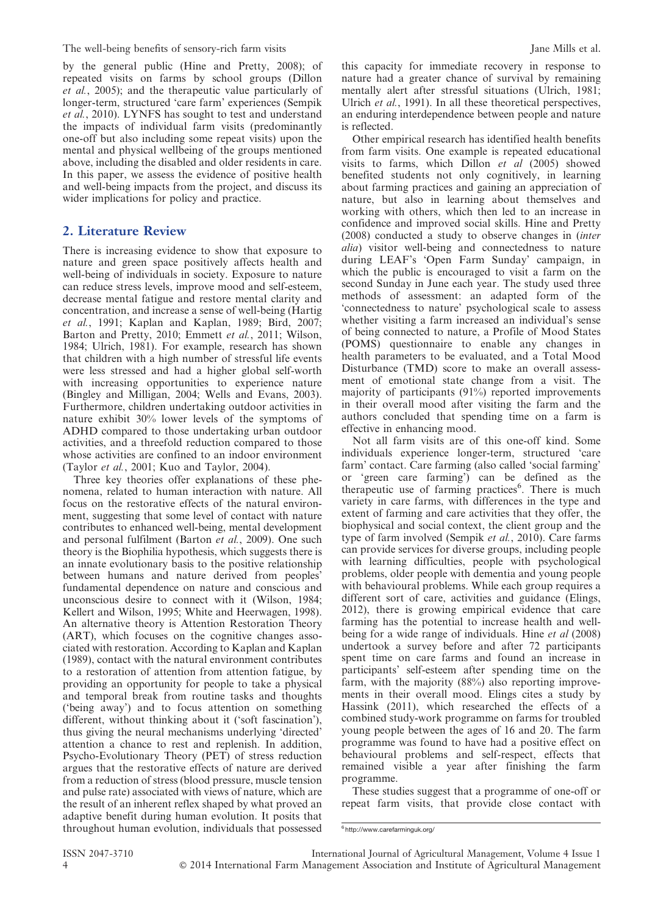by the general public (Hine and Pretty, 2008); of repeated visits on farms by school groups (Dillon et al., 2005); and the therapeutic value particularly of longer-term, structured 'care farm' experiences (Sempik et al., 2010). LYNFS has sought to test and understand the impacts of individual farm visits (predominantly one-off but also including some repeat visits) upon the mental and physical wellbeing of the groups mentioned above, including the disabled and older residents in care. In this paper, we assess the evidence of positive health and well-being impacts from the project, and discuss its wider implications for policy and practice.

### 2. Literature Review

There is increasing evidence to show that exposure to nature and green space positively affects health and well-being of individuals in society. Exposure to nature can reduce stress levels, improve mood and self-esteem, decrease mental fatigue and restore mental clarity and concentration, and increase a sense of well-being (Hartig et al., 1991; Kaplan and Kaplan, 1989; Bird, 2007; Barton and Pretty, 2010; Emmett et al., 2011; Wilson, 1984; Ulrich, 1981). For example, research has shown that children with a high number of stressful life events were less stressed and had a higher global self-worth with increasing opportunities to experience nature (Bingley and Milligan, 2004; Wells and Evans, 2003). Furthermore, children undertaking outdoor activities in nature exhibit 30% lower levels of the symptoms of ADHD compared to those undertaking urban outdoor activities, and a threefold reduction compared to those whose activities are confined to an indoor environment (Taylor et al., 2001; Kuo and Taylor, 2004).

Three key theories offer explanations of these phenomena, related to human interaction with nature. All focus on the restorative effects of the natural environment, suggesting that some level of contact with nature contributes to enhanced well-being, mental development and personal fulfilment (Barton et al., 2009). One such theory is the Biophilia hypothesis, which suggests there is an innate evolutionary basis to the positive relationship between humans and nature derived from peoples' fundamental dependence on nature and conscious and unconscious desire to connect with it (Wilson, 1984; Kellert and Wilson, 1995; White and Heerwagen, 1998). An alternative theory is Attention Restoration Theory (ART), which focuses on the cognitive changes associated with restoration. According to Kaplan and Kaplan (1989), contact with the natural environment contributes to a restoration of attention from attention fatigue, by providing an opportunity for people to take a physical and temporal break from routine tasks and thoughts ('being away') and to focus attention on something different, without thinking about it ('soft fascination'), thus giving the neural mechanisms underlying 'directed' attention a chance to rest and replenish. In addition, Psycho-Evolutionary Theory (PET) of stress reduction argues that the restorative effects of nature are derived from a reduction of stress (blood pressure, muscle tension and pulse rate) associated with views of nature, which are the result of an inherent reflex shaped by what proved an adaptive benefit during human evolution. It posits that throughout human evolution, individuals that possessed this capacity for immediate recovery in response to nature had a greater chance of survival by remaining mentally alert after stressful situations (Ulrich, 1981; Ulrich et al., 1991). In all these theoretical perspectives, an enduring interdependence between people and nature is reflected.

Other empirical research has identified health benefits from farm visits. One example is repeated educational visits to farms, which Dillon et al (2005) showed benefited students not only cognitively, in learning about farming practices and gaining an appreciation of nature, but also in learning about themselves and working with others, which then led to an increase in confidence and improved social skills. Hine and Pretty (2008) conducted a study to observe changes in (inter alia) visitor well-being and connectedness to nature during LEAF's 'Open Farm Sunday' campaign, in which the public is encouraged to visit a farm on the second Sunday in June each year. The study used three methods of assessment: an adapted form of the 'connectedness to nature' psychological scale to assess whether visiting a farm increased an individual's sense of being connected to nature, a Profile of Mood States (POMS) questionnaire to enable any changes in health parameters to be evaluated, and a Total Mood Disturbance (TMD) score to make an overall assessment of emotional state change from a visit. The majority of participants (91%) reported improvements in their overall mood after visiting the farm and the authors concluded that spending time on a farm is effective in enhancing mood.

Not all farm visits are of this one-off kind. Some individuals experience longer-term, structured 'care farm' contact. Care farming (also called 'social farming' or 'green care farming') can be defined as the therapeutic use of farming practices<sup>6</sup>. There is much variety in care farms, with differences in the type and extent of farming and care activities that they offer, the biophysical and social context, the client group and the type of farm involved (Sempik et al., 2010). Care farms can provide services for diverse groups, including people with learning difficulties, people with psychological problems, older people with dementia and young people with behavioural problems. While each group requires a different sort of care, activities and guidance (Elings, 2012), there is growing empirical evidence that care farming has the potential to increase health and wellbeing for a wide range of individuals. Hine et al (2008) undertook a survey before and after 72 participants spent time on care farms and found an increase in participants' self-esteem after spending time on the farm, with the majority (88%) also reporting improvements in their overall mood. Elings cites a study by Hassink (2011), which researched the effects of a combined study-work programme on farms for troubled young people between the ages of 16 and 20. The farm programme was found to have had a positive effect on behavioural problems and self-respect, effects that remained visible a year after finishing the farm programme.

These studies suggest that a programme of one-off or repeat farm visits, that provide close contact with

<sup>6</sup> http://www.carefarminguk.org/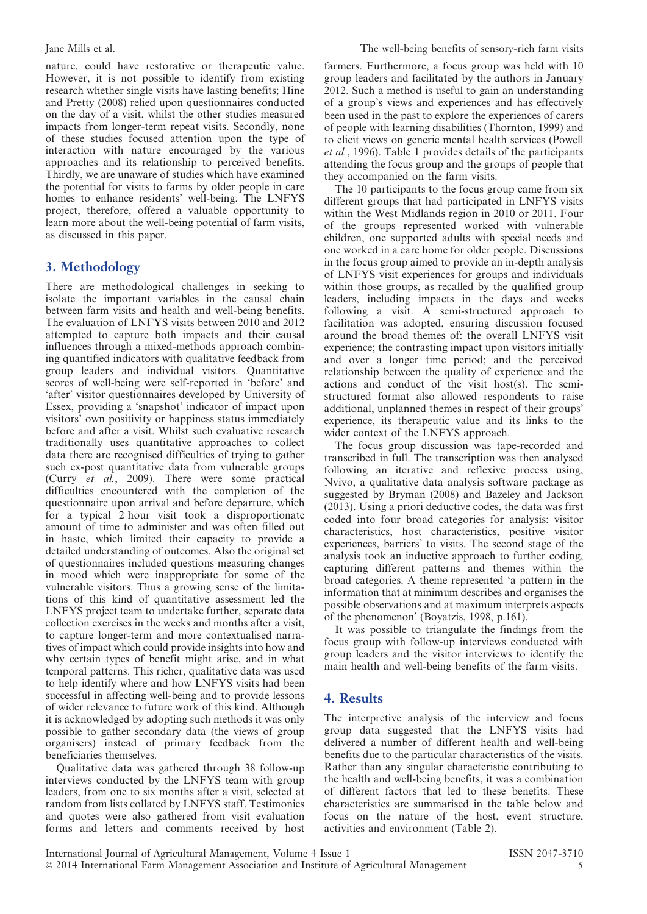nature, could have restorative or therapeutic value. However, it is not possible to identify from existing research whether single visits have lasting benefits; Hine and Pretty (2008) relied upon questionnaires conducted on the day of a visit, whilst the other studies measured impacts from longer-term repeat visits. Secondly, none of these studies focused attention upon the type of interaction with nature encouraged by the various approaches and its relationship to perceived benefits. Thirdly, we are unaware of studies which have examined the potential for visits to farms by older people in care homes to enhance residents' well-being. The LNFYS project, therefore, offered a valuable opportunity to learn more about the well-being potential of farm visits, as discussed in this paper.

### 3. Methodology

There are methodological challenges in seeking to isolate the important variables in the causal chain between farm visits and health and well-being benefits. The evaluation of LNFYS visits between 2010 and 2012 attempted to capture both impacts and their causal influences through a mixed-methods approach combining quantified indicators with qualitative feedback from group leaders and individual visitors. Quantitative scores of well-being were self-reported in 'before' and 'after' visitor questionnaires developed by University of Essex, providing a 'snapshot' indicator of impact upon visitors' own positivity or happiness status immediately before and after a visit. Whilst such evaluative research traditionally uses quantitative approaches to collect data there are recognised difficulties of trying to gather such ex-post quantitative data from vulnerable groups (Curry et al., 2009). There were some practical difficulties encountered with the completion of the questionnaire upon arrival and before departure, which for a typical 2 hour visit took a disproportionate amount of time to administer and was often filled out in haste, which limited their capacity to provide a detailed understanding of outcomes. Also the original set of questionnaires included questions measuring changes in mood which were inappropriate for some of the vulnerable visitors. Thus a growing sense of the limitations of this kind of quantitative assessment led the LNFYS project team to undertake further, separate data collection exercises in the weeks and months after a visit, to capture longer-term and more contextualised narratives of impact which could provide insights into how and why certain types of benefit might arise, and in what temporal patterns. This richer, qualitative data was used to help identify where and how LNFYS visits had been successful in affecting well-being and to provide lessons of wider relevance to future work of this kind. Although it is acknowledged by adopting such methods it was only possible to gather secondary data (the views of group organisers) instead of primary feedback from the beneficiaries themselves.

Qualitative data was gathered through 38 follow-up interviews conducted by the LNFYS team with group leaders, from one to six months after a visit, selected at random from lists collated by LNFYS staff. Testimonies and quotes were also gathered from visit evaluation forms and letters and comments received by host

farmers. Furthermore, a focus group was held with 10 group leaders and facilitated by the authors in January 2012. Such a method is useful to gain an understanding of a group's views and experiences and has effectively been used in the past to explore the experiences of carers of people with learning disabilities (Thornton, 1999) and to elicit views on generic mental health services (Powell et al., 1996). Table 1 provides details of the participants attending the focus group and the groups of people that they accompanied on the farm visits.

The 10 participants to the focus group came from six different groups that had participated in LNFYS visits within the West Midlands region in 2010 or 2011. Four of the groups represented worked with vulnerable children, one supported adults with special needs and one worked in a care home for older people. Discussions in the focus group aimed to provide an in-depth analysis of LNFYS visit experiences for groups and individuals within those groups, as recalled by the qualified group leaders, including impacts in the days and weeks following a visit. A semi-structured approach to facilitation was adopted, ensuring discussion focused around the broad themes of: the overall LNFYS visit experience; the contrasting impact upon visitors initially and over a longer time period; and the perceived relationship between the quality of experience and the actions and conduct of the visit host(s). The semistructured format also allowed respondents to raise additional, unplanned themes in respect of their groups' experience, its therapeutic value and its links to the wider context of the LNFYS approach.

The focus group discussion was tape-recorded and transcribed in full. The transcription was then analysed following an iterative and reflexive process using, Nvivo, a qualitative data analysis software package as suggested by Bryman (2008) and Bazeley and Jackson (2013). Using a priori deductive codes, the data was first coded into four broad categories for analysis: visitor characteristics, host characteristics, positive visitor experiences, barriers' to visits. The second stage of the analysis took an inductive approach to further coding, capturing different patterns and themes within the broad categories. A theme represented 'a pattern in the information that at minimum describes and organises the possible observations and at maximum interprets aspects of the phenomenon' (Boyatzis, 1998, p.161).

It was possible to triangulate the findings from the focus group with follow-up interviews conducted with group leaders and the visitor interviews to identify the main health and well-being benefits of the farm visits.

### 4. Results

The interpretive analysis of the interview and focus group data suggested that the LNFYS visits had delivered a number of different health and well-being benefits due to the particular characteristics of the visits. Rather than any singular characteristic contributing to the health and well-being benefits, it was a combination of different factors that led to these benefits. These characteristics are summarised in the table below and focus on the nature of the host, event structure, activities and environment (Table 2).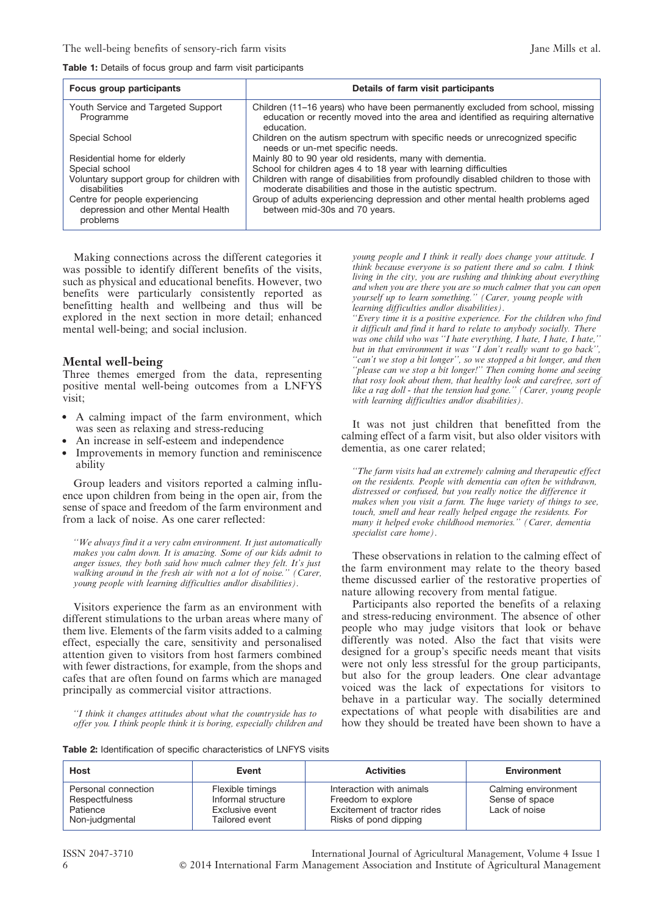Table 1: Details of focus group and farm visit participants

| Focus group participants                                                         | Details of farm visit participants                                                                                                                                                |  |  |
|----------------------------------------------------------------------------------|-----------------------------------------------------------------------------------------------------------------------------------------------------------------------------------|--|--|
| Youth Service and Targeted Support<br>Programme                                  | Children (11-16 years) who have been permanently excluded from school, missing<br>education or recently moved into the area and identified as requiring alternative<br>education. |  |  |
| Special School                                                                   | Children on the autism spectrum with specific needs or unrecognized specific<br>needs or un-met specific needs.                                                                   |  |  |
| Residential home for elderly                                                     | Mainly 80 to 90 year old residents, many with dementia.                                                                                                                           |  |  |
| Special school                                                                   | School for children ages 4 to 18 year with learning difficulties                                                                                                                  |  |  |
| Voluntary support group for children with<br>disabilities                        | Children with range of disabilities from profoundly disabled children to those with<br>moderate disabilities and those in the autistic spectrum.                                  |  |  |
| Centre for people experiencing<br>depression and other Mental Health<br>problems | Group of adults experiencing depression and other mental health problems aged<br>between mid-30s and 70 years.                                                                    |  |  |

Making connections across the different categories it was possible to identify different benefits of the visits, such as physical and educational benefits. However, two benefits were particularly consistently reported as benefitting health and wellbeing and thus will be explored in the next section in more detail; enhanced mental well-being; and social inclusion.

### Mental well-being

Three themes emerged from the data, representing positive mental well-being outcomes from a LNFYS visit;

- A calming impact of the farm environment, which was seen as relaxing and stress-reducing
- An increase in self-esteem and independence
- Improvements in memory function and reminiscence ability

Group leaders and visitors reported a calming influence upon children from being in the open air, from the sense of space and freedom of the farm environment and from a lack of noise. As one carer reflected:

''We always find it a very calm environment. It just automatically makes you calm down. It is amazing. Some of our kids admit to anger issues, they both said how much calmer they felt. It's just walking around in the fresh air with not a lot of noise." (Carer, young people with learning difficulties and/or disabilities).

Visitors experience the farm as an environment with different stimulations to the urban areas where many of them live. Elements of the farm visits added to a calming effect, especially the care, sensitivity and personalised attention given to visitors from host farmers combined with fewer distractions, for example, from the shops and cafes that are often found on farms which are managed principally as commercial visitor attractions.

''I think it changes attitudes about what the countryside has to offer you. I think people think it is boring, especially children and

young people and I think it really does change your attitude. I think because everyone is so patient there and so calm. I think living in the city, you are rushing and thinking about everything and when you are there you are so much calmer that you can open yourself up to learn something.'' (Carer, young people with learning difficulties and/or disabilities).

''Every time it is a positive experience. For the children who find it difficult and find it hard to relate to anybody socially. There was one child who was ''I hate everything, I hate, I hate, I hate,'' but in that environment it was ''I don't really want to go back'', ''can't we stop a bit longer'', so we stopped a bit longer, and then ''please can we stop a bit longer!'' Then coming home and seeing that rosy look about them, that healthy look and carefree, sort of like a rag doll - that the tension had gone.'' (Carer, young people with learning difficulties andlor disabilities).

It was not just children that benefitted from the calming effect of a farm visit, but also older visitors with dementia, as one carer related;

''The farm visits had an extremely calming and therapeutic effect on the residents. People with dementia can often be withdrawn, distressed or confused, but you really notice the difference it makes when you visit a farm. The huge variety of things to see, touch, smell and hear really helped engage the residents. For many it helped evoke childhood memories.'' (Carer, dementia specialist care home).

These observations in relation to the calming effect of the farm environment may relate to the theory based theme discussed earlier of the restorative properties of nature allowing recovery from mental fatigue.

Participants also reported the benefits of a relaxing and stress-reducing environment. The absence of other people who may judge visitors that look or behave differently was noted. Also the fact that visits were designed for a group's specific needs meant that visits were not only less stressful for the group participants, but also for the group leaders. One clear advantage voiced was the lack of expectations for visitors to behave in a particular way. The socially determined expectations of what people with disabilities are and how they should be treated have been shown to have a

Table 2: Identification of specific characteristics of LNFYS visits

| <b>Host</b>                                                         | Event                                                                       | <b>Activities</b>                                                                                      | <b>Environment</b>                                     |
|---------------------------------------------------------------------|-----------------------------------------------------------------------------|--------------------------------------------------------------------------------------------------------|--------------------------------------------------------|
| Personal connection<br>Respectfulness<br>Patience<br>Non-judgmental | Flexible timings<br>Informal structure<br>Exclusive event<br>Tailored event | Interaction with animals<br>Freedom to explore<br>Excitement of tractor rides<br>Risks of pond dipping | Calming environment<br>Sense of space<br>Lack of noise |

ISSN 2047-3710 International Journal of Agricultural Management, Volume 4 Issue 1 6 ' 2014 International Farm Management Association and Institute of Agricultural Management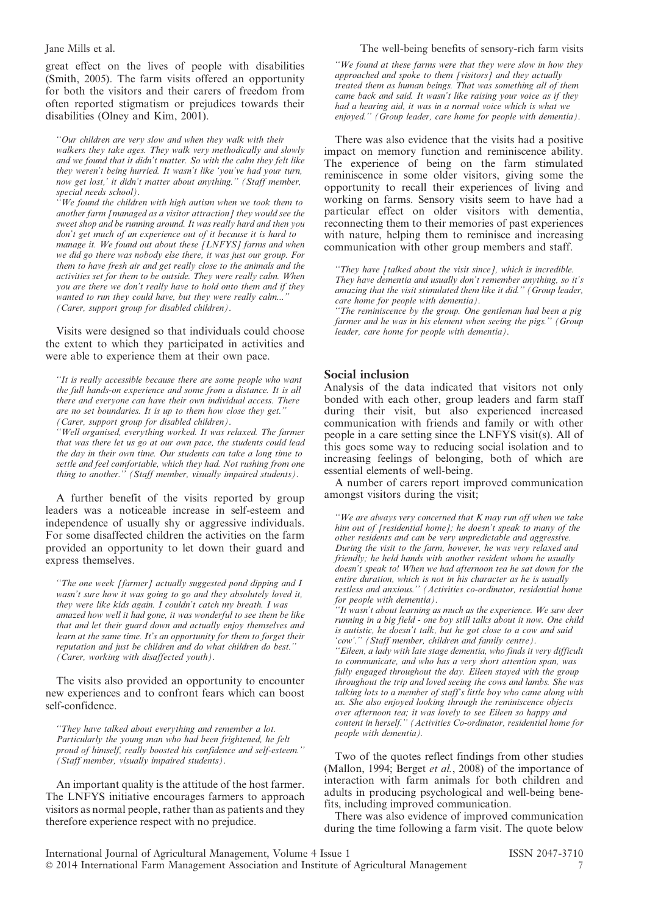great effect on the lives of people with disabilities (Smith, 2005). The farm visits offered an opportunity for both the visitors and their carers of freedom from often reported stigmatism or prejudices towards their disabilities (Olney and Kim, 2001).

''Our children are very slow and when they walk with their walkers they take ages. They walk very methodically and slowly and we found that it didn't matter. So with the calm they felt like they weren't being hurried. It wasn't like 'you've had your turn, now get lost,' it didn't matter about anything.'' (Staff member, special needs school).

''We found the children with high autism when we took them to another farm [managed as a visitor attraction] they would see the sweet shop and be running around. It was really hard and then you don't get much of an experience out of it because it is hard to manage it. We found out about these [LNFYS] farms and when we did go there was nobody else there, it was just our group. For them to have fresh air and get really close to the animals and the activities set for them to be outside. They were really calm. When you are there we don't really have to hold onto them and if they wanted to run they could have, but they were really calm... (Carer, support group for disabled children).

Visits were designed so that individuals could choose the extent to which they participated in activities and were able to experience them at their own pace.

''Well organised, everything worked. It was relaxed. The farmer that was there let us go at our own pace, the students could lead the day in their own time. Our students can take a long time to settle and feel comfortable, which they had. Not rushing from one thing to another.'' (Staff member, visually impaired students).

A further benefit of the visits reported by group leaders was a noticeable increase in self-esteem and independence of usually shy or aggressive individuals. For some disaffected children the activities on the farm provided an opportunity to let down their guard and express themselves.

''The one week [farmer] actually suggested pond dipping and I wasn't sure how it was going to go and they absolutely loved it, they were like kids again. I couldn't catch my breath. I was amazed how well it had gone, it was wonderful to see them be like that and let their guard down and actually enjoy themselves and learn at the same time. It's an opportunity for them to forget their reputation and just be children and do what children do best.'' (Carer, working with disaffected youth).

The visits also provided an opportunity to encounter new experiences and to confront fears which can boost self-confidence.

''They have talked about everything and remember a lot. Particularly the young man who had been frightened, he felt proud of himself, really boosted his confidence and self-esteem.'' (Staff member, visually impaired students).

An important quality is the attitude of the host farmer. The LNFYS initiative encourages farmers to approach visitors as normal people, rather than as patients and they therefore experience respect with no prejudice.

### Jane Mills et al. The well-being benefits of sensory-rich farm visits

''We found at these farms were that they were slow in how they approached and spoke to them [visitors] and they actually treated them as human beings. That was something all of them came back and said. It wasn't like raising your voice as if they had a hearing aid, it was in a normal voice which is what we enjoyed.'' (Group leader, care home for people with dementia).

There was also evidence that the visits had a positive impact on memory function and reminiscence ability. The experience of being on the farm stimulated reminiscence in some older visitors, giving some the opportunity to recall their experiences of living and working on farms. Sensory visits seem to have had a particular effect on older visitors with dementia, reconnecting them to their memories of past experiences with nature, helping them to reminisce and increasing communication with other group members and staff.

''They have [talked about the visit since], which is incredible. They have dementia and usually don't remember anything, so it's amazing that the visit stimulated them like it did.'' (Group leader, care home for people with dementia).

''The reminiscence by the group. One gentleman had been a pig farmer and he was in his element when seeing the pigs." (Group leader, care home for people with dementia).

### Social inclusion

Analysis of the data indicated that visitors not only bonded with each other, group leaders and farm staff during their visit, but also experienced increased communication with friends and family or with other people in a care setting since the LNFYS visit(s). All of this goes some way to reducing social isolation and to increasing feelings of belonging, both of which are essential elements of well-being.

A number of carers report improved communication amongst visitors during the visit;

"We are always very concerned that  $K$  may run off when we take him out of [residential home]; he doesn't speak to many of the other residents and can be very unpredictable and aggressive. During the visit to the farm, however, he was very relaxed and friendly; he held hands with another resident whom he usually doesn't speak to! When we had afternoon tea he sat down for the entire duration, which is not in his character as he is usually restless and anxious.'' (Activities co-ordinator, residential home for people with dementia).

''It wasn't about learning as much as the experience. We saw deer running in a big field - one boy still talks about it now. One child is autistic, he doesn't talk, but he got close to a cow and said 'cow'.'' (Staff member, children and family centre). ''Eileen, a lady with late stage dementia, who finds it very difficult to communicate, and who has a very short attention span, was fully engaged throughout the day. Eileen stayed with the group throughout the trip and loved seeing the cows and lambs. She was talking lots to a member of staff's little boy who came along with us. She also enjoyed looking through the reminiscence objects over afternoon tea; it was lovely to see Eileen so happy and content in herself.'' (Activities Co-ordinator, residential home for people with dementia).

Two of the quotes reflect findings from other studies (Mallon, 1994; Berget et al., 2008) of the importance of interaction with farm animals for both children and adults in producing psychological and well-being benefits, including improved communication.

There was also evidence of improved communication during the time following a farm visit. The quote below

<sup>&#</sup>x27;'It is really accessible because there are some people who want the full hands-on experience and some from a distance. It is all there and everyone can have their own individual access. There are no set boundaries. It is up to them how close they get.'' (Carer, support group for disabled children).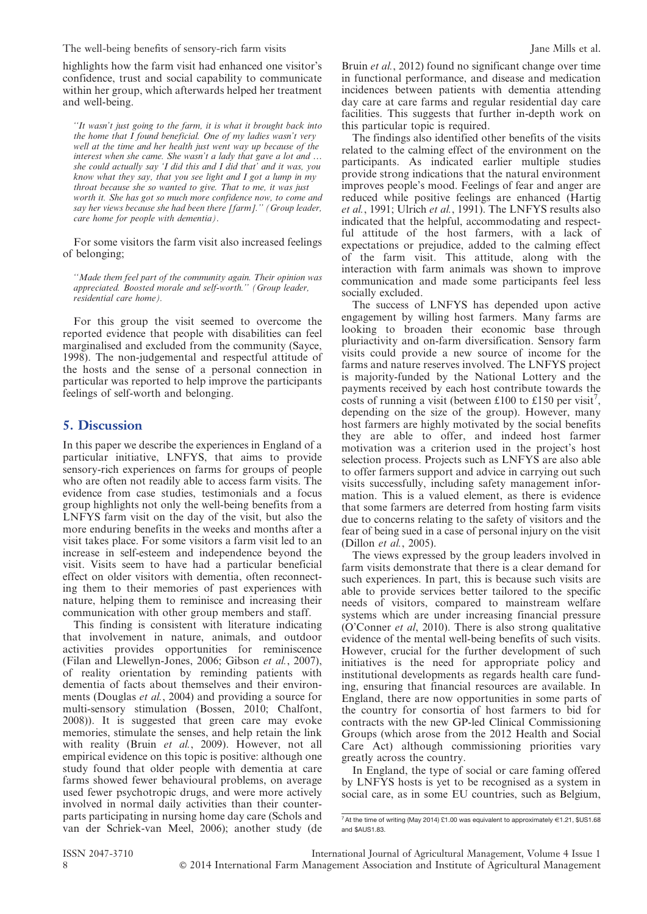The well-being benefits of sensory-rich farm visits Jane Mills et al.

highlights how the farm visit had enhanced one visitor's confidence, trust and social capability to communicate within her group, which afterwards helped her treatment and well-being.

''It wasn't just going to the farm, it is what it brought back into the home that  $I$  found beneficial. One of my ladies wasn't very well at the time and her health just went way up because of the interest when she came. She wasn't a lady that gave a lot and … she could actually say 'I did this and I did that' and it was, you know what they say, that you see light and I got a lump in my throat because she so wanted to give. That to me, it was just worth it. She has got so much more confidence now, to come and say her views because she had been there [farm].'' (Group leader, care home for people with dementia).

For some visitors the farm visit also increased feelings of belonging;

''Made them feel part of the community again. Their opinion was appreciated. Boosted morale and self-worth.'' (Group leader, residential care home).

For this group the visit seemed to overcome the reported evidence that people with disabilities can feel marginalised and excluded from the community (Sayce, 1998). The non-judgemental and respectful attitude of the hosts and the sense of a personal connection in particular was reported to help improve the participants feelings of self-worth and belonging.

### 5. Discussion

In this paper we describe the experiences in England of a particular initiative, LNFYS, that aims to provide sensory-rich experiences on farms for groups of people who are often not readily able to access farm visits. The evidence from case studies, testimonials and a focus group highlights not only the well-being benefits from a LNFYS farm visit on the day of the visit, but also the more enduring benefits in the weeks and months after a visit takes place. For some visitors a farm visit led to an increase in self-esteem and independence beyond the visit. Visits seem to have had a particular beneficial effect on older visitors with dementia, often reconnecting them to their memories of past experiences with nature, helping them to reminisce and increasing their communication with other group members and staff.

This finding is consistent with literature indicating that involvement in nature, animals, and outdoor activities provides opportunities for reminiscence (Filan and Llewellyn-Jones, 2006; Gibson et al., 2007), of reality orientation by reminding patients with dementia of facts about themselves and their environments (Douglas *et al.*, 2004) and providing a source for multi-sensory stimulation (Bossen, 2010; Chalfont, 2008)). It is suggested that green care may evoke memories, stimulate the senses, and help retain the link with reality (Bruin et al., 2009). However, not all empirical evidence on this topic is positive: although one study found that older people with dementia at care farms showed fewer behavioural problems, on average used fewer psychotropic drugs, and were more actively involved in normal daily activities than their counterparts participating in nursing home day care (Schols and van der Schriek-van Meel, 2006); another study (de Bruin *et al.*, 2012) found no significant change over time in functional performance, and disease and medication incidences between patients with dementia attending day care at care farms and regular residential day care facilities. This suggests that further in-depth work on this particular topic is required.

The findings also identified other benefits of the visits related to the calming effect of the environment on the participants. As indicated earlier multiple studies provide strong indications that the natural environment improves people's mood. Feelings of fear and anger are reduced while positive feelings are enhanced (Hartig et al., 1991; Ulrich et al., 1991). The LNFYS results also indicated that the helpful, accommodating and respectful attitude of the host farmers, with a lack of expectations or prejudice, added to the calming effect of the farm visit. This attitude, along with the interaction with farm animals was shown to improve communication and made some participants feel less socially excluded.

The success of LNFYS has depended upon active engagement by willing host farmers. Many farms are looking to broaden their economic base through pluriactivity and on-farm diversification. Sensory farm visits could provide a new source of income for the farms and nature reserves involved. The LNFYS project is majority-funded by the National Lottery and the payments received by each host contribute towards the costs of running a visit (between £100 to £150 per visit<sup>7</sup>, depending on the size of the group). However, many host farmers are highly motivated by the social benefits they are able to offer, and indeed host farmer motivation was a criterion used in the project's host selection process. Projects such as LNFYS are also able to offer farmers support and advice in carrying out such visits successfully, including safety management information. This is a valued element, as there is evidence that some farmers are deterred from hosting farm visits due to concerns relating to the safety of visitors and the fear of being sued in a case of personal injury on the visit (Dillon et al., 2005).

The views expressed by the group leaders involved in farm visits demonstrate that there is a clear demand for such experiences. In part, this is because such visits are able to provide services better tailored to the specific needs of visitors, compared to mainstream welfare systems which are under increasing financial pressure (O'Conner et al, 2010). There is also strong qualitative evidence of the mental well-being benefits of such visits. However, crucial for the further development of such initiatives is the need for appropriate policy and institutional developments as regards health care funding, ensuring that financial resources are available. In England, there are now opportunities in some parts of the country for consortia of host farmers to bid for contracts with the new GP-led Clinical Commissioning Groups (which arose from the 2012 Health and Social Care Act) although commissioning priorities vary greatly across the country.

In England, the type of social or care faming offered by LNFYS hosts is yet to be recognised as a system in social care, as in some EU countries, such as Belgium,

 $^7$  At the time of writing (May 2014) £1.00 was equivalent to approximately  $\in$ 1.21, \$US1.68 and \$AUS1.83.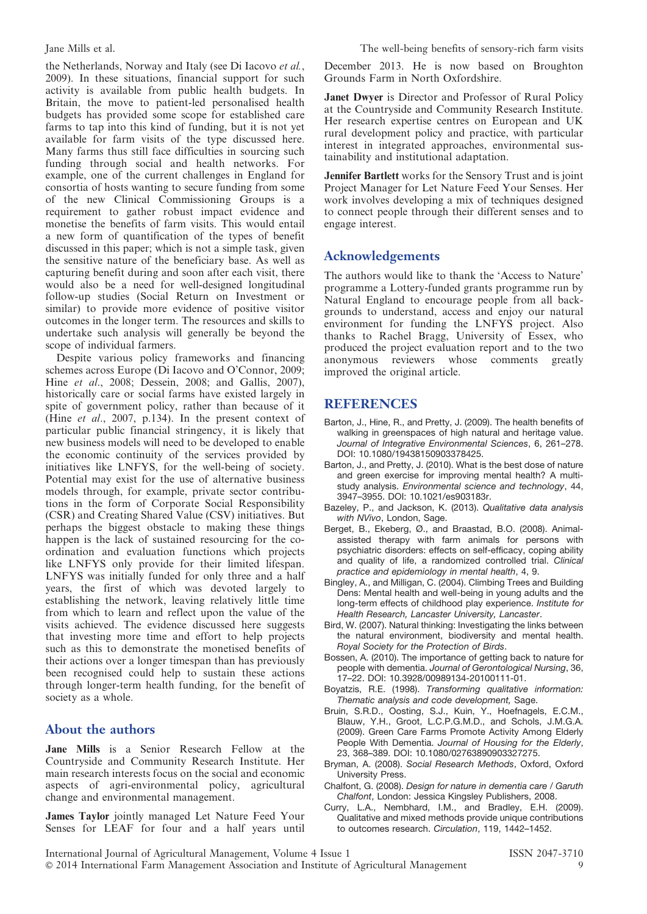the Netherlands, Norway and Italy (see Di Iacovo et al., 2009). In these situations, financial support for such activity is available from public health budgets. In Britain, the move to patient-led personalised health budgets has provided some scope for established care farms to tap into this kind of funding, but it is not yet available for farm visits of the type discussed here. Many farms thus still face difficulties in sourcing such funding through social and health networks. For example, one of the current challenges in England for consortia of hosts wanting to secure funding from some of the new Clinical Commissioning Groups is a requirement to gather robust impact evidence and monetise the benefits of farm visits. This would entail a new form of quantification of the types of benefit discussed in this paper; which is not a simple task, given the sensitive nature of the beneficiary base. As well as capturing benefit during and soon after each visit, there would also be a need for well-designed longitudinal follow-up studies (Social Return on Investment or similar) to provide more evidence of positive visitor outcomes in the longer term. The resources and skills to undertake such analysis will generally be beyond the scope of individual farmers.

Despite various policy frameworks and financing schemes across Europe (Di Iacovo and O'Connor, 2009; Hine et al., 2008; Dessein, 2008; and Gallis, 2007), historically care or social farms have existed largely in spite of government policy, rather than because of it (Hine et al., 2007, p.134). In the present context of particular public financial stringency, it is likely that new business models will need to be developed to enable the economic continuity of the services provided by initiatives like LNFYS, for the well-being of society. Potential may exist for the use of alternative business models through, for example, private sector contributions in the form of Corporate Social Responsibility (CSR) and Creating Shared Value (CSV) initiatives. But perhaps the biggest obstacle to making these things happen is the lack of sustained resourcing for the coordination and evaluation functions which projects like LNFYS only provide for their limited lifespan. LNFYS was initially funded for only three and a half years, the first of which was devoted largely to establishing the network, leaving relatively little time from which to learn and reflect upon the value of the visits achieved. The evidence discussed here suggests that investing more time and effort to help projects such as this to demonstrate the monetised benefits of their actions over a longer timespan than has previously been recognised could help to sustain these actions through longer-term health funding, for the benefit of society as a whole.

### About the authors

Jane Mills is a Senior Research Fellow at the Countryside and Community Research Institute. Her main research interests focus on the social and economic aspects of agri-environmental policy, agricultural change and environmental management.

James Taylor jointly managed Let Nature Feed Your Senses for LEAF for four and a half years until December 2013. He is now based on Broughton Grounds Farm in North Oxfordshire.

Janet Dwyer is Director and Professor of Rural Policy at the Countryside and Community Research Institute. Her research expertise centres on European and UK rural development policy and practice, with particular interest in integrated approaches, environmental sustainability and institutional adaptation.

Jennifer Bartlett works for the Sensory Trust and is joint Project Manager for Let Nature Feed Your Senses. Her work involves developing a mix of techniques designed to connect people through their different senses and to engage interest.

### Acknowledgements

The authors would like to thank the 'Access to Nature' programme a Lottery-funded grants programme run by Natural England to encourage people from all backgrounds to understand, access and enjoy our natural environment for funding the LNFYS project. Also thanks to Rachel Bragg, University of Essex, who produced the project evaluation report and to the two anonymous reviewers whose comments greatly improved the original article.

### **REFERENCES**

- Barton, J., Hine, R., and Pretty, J. (2009). The health benefits of walking in greenspaces of high natural and heritage value. Journal of Integrative Environmental Sciences, 6, 261–278. DOI: 10.1080/19438150903378425.
- Barton, J., and Pretty, J. (2010). What is the best dose of nature and green exercise for improving mental health? A multistudy analysis. Environmental science and technology, 44, 3947–3955. DOI: 10.1021/es903183r.
- Bazeley, P., and Jackson, K. (2013). Qualitative data analysis with NVivo, London, Sage.
- Berget, B., Ekeberg, Ø., and Braastad, B.O. (2008). Animalassisted therapy with farm animals for persons with psychiatric disorders: effects on self-efficacy, coping ability and quality of life, a randomized controlled trial. Clinical practice and epidemiology in mental health, 4, 9.
- Bingley, A., and Milligan, C. (2004). Climbing Trees and Building Dens: Mental health and well-being in young adults and the long-term effects of childhood play experience. Institute for Health Research, Lancaster University, Lancaster.
- Bird, W. (2007). Natural thinking: Investigating the links between the natural environment, biodiversity and mental health. Royal Society for the Protection of Birds.
- Bossen, A. (2010). The importance of getting back to nature for people with dementia. Journal of Gerontological Nursing, 36, 17–22. DOI: 10.3928/00989134-20100111-01.
- Boyatzis, R.E. (1998). Transforming qualitative information: Thematic analysis and code development, Sage.
- Bruin, S.R.D., Oosting, S.J., Kuin, Y., Hoefnagels, E.C.M., Blauw, Y.H., Groot, L.C.P.G.M.D., and Schols, J.M.G.A. (2009). Green Care Farms Promote Activity Among Elderly People With Dementia. Journal of Housing for the Elderly, 23, 368–389. DOI: 10.1080/02763890903327275.
- Bryman, A. (2008). Social Research Methods, Oxford, Oxford University Press.
- Chalfont, G. (2008). Design for nature in dementia care / Garuth Chalfont, London: Jessica Kingsley Publishers, 2008.
- Curry, L.A., Nembhard, I.M., and Bradley, E.H. (2009). Qualitative and mixed methods provide unique contributions to outcomes research. Circulation, 119, 1442–1452.